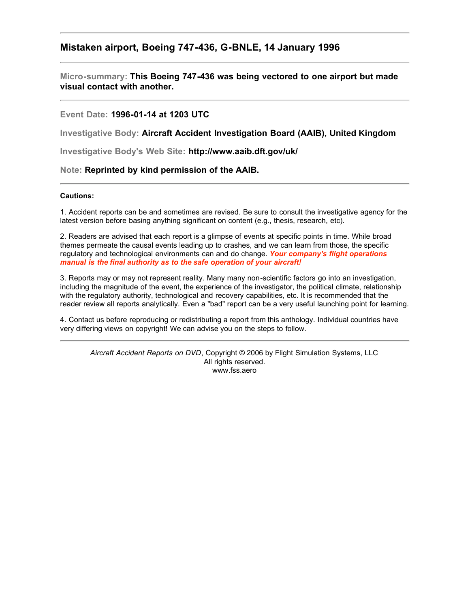# **Mistaken airport, Boeing 747-436, G-BNLE, 14 January 1996**

**Micro-summary: This Boeing 747-436 was being vectored to one airport but made visual contact with another.**

### **Event Date: 1996-01-14 at 1203 UTC**

**Investigative Body: Aircraft Accident Investigation Board (AAIB), United Kingdom**

**Investigative Body's Web Site: http://www.aaib.dft.gov/uk/**

#### **Note: Reprinted by kind permission of the AAIB.**

#### **Cautions:**

1. Accident reports can be and sometimes are revised. Be sure to consult the investigative agency for the latest version before basing anything significant on content (e.g., thesis, research, etc).

2. Readers are advised that each report is a glimpse of events at specific points in time. While broad themes permeate the causal events leading up to crashes, and we can learn from those, the specific regulatory and technological environments can and do change. *Your company's flight operations manual is the final authority as to the safe operation of your aircraft!*

3. Reports may or may not represent reality. Many many non-scientific factors go into an investigation, including the magnitude of the event, the experience of the investigator, the political climate, relationship with the regulatory authority, technological and recovery capabilities, etc. It is recommended that the reader review all reports analytically. Even a "bad" report can be a very useful launching point for learning.

4. Contact us before reproducing or redistributing a report from this anthology. Individual countries have very differing views on copyright! We can advise you on the steps to follow.

*Aircraft Accident Reports on DVD*, Copyright © 2006 by Flight Simulation Systems, LLC All rights reserved. www.fss.aero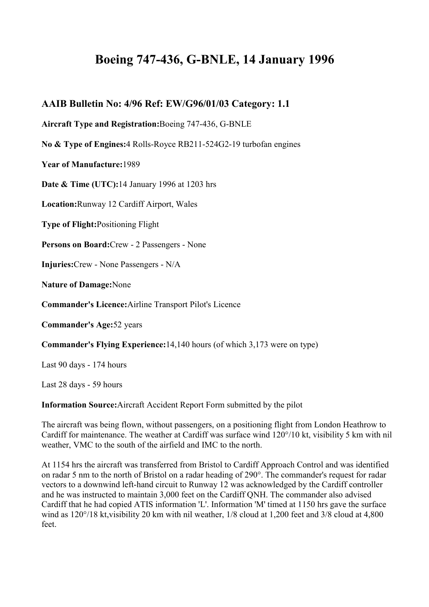# **Boeing 747-436, G-BNLE, 14 January 1996**

# **AAIB Bulletin No: 4/96 Ref: EW/G96/01/03 Category: 1.1**

**Aircraft Type and Registration:**Boeing 747-436, G-BNLE

**No & Type of Engines:**4 Rolls-Royce RB211-524G2-19 turbofan engines

**Year of Manufacture:**1989

**Date & Time (UTC):**14 January 1996 at 1203 hrs

**Location:**Runway 12 Cardiff Airport, Wales

**Type of Flight:**Positioning Flight

**Persons on Board:**Crew - 2 Passengers - None

**Injuries:**Crew - None Passengers - N/A

**Nature of Damage:**None

**Commander's Licence:**Airline Transport Pilot's Licence

**Commander's Age:**52 years

**Commander's Flying Experience:**14,140 hours (of which 3,173 were on type)

Last 90 days - 174 hours

Last 28 days - 59 hours

**Information Source:**Aircraft Accident Report Form submitted by the pilot

The aircraft was being flown, without passengers, on a positioning flight from London Heathrow to Cardiff for maintenance. The weather at Cardiff was surface wind 120°/10 kt, visibility 5 km with nil weather, VMC to the south of the airfield and IMC to the north.

At 1154 hrs the aircraft was transferred from Bristol to Cardiff Approach Control and was identified on radar 5 nm to the north of Bristol on a radar heading of 290°. The commander's request for radar vectors to a downwind left-hand circuit to Runway 12 was acknowledged by the Cardiff controller and he was instructed to maintain 3,000 feet on the Cardiff QNH. The commander also advised Cardiff that he had copied ATIS information 'L'. Information 'M' timed at 1150 hrs gave the surface wind as 120°/18 kt, visibility 20 km with nil weather, 1/8 cloud at 1,200 feet and 3/8 cloud at 4,800 feet.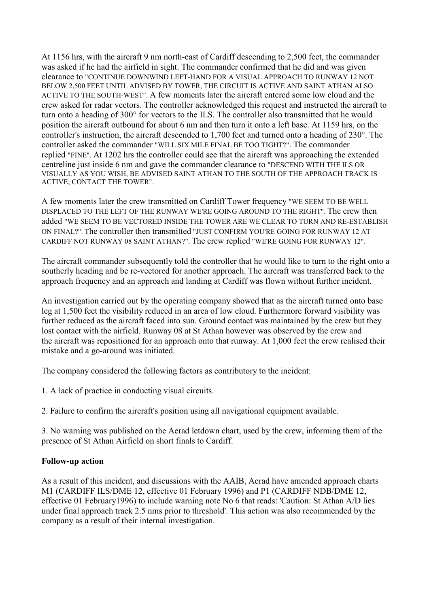At 1156 hrs, with the aircraft 9 nm north-east of Cardiff descending to 2,500 feet, the commander was asked if he had the airfield in sight. The commander confirmed that he did and was given clearance to "CONTINUE DOWNWIND LEFT-HAND FOR A VISUAL APPROACH TO RUNWAY 12 NOT BELOW 2,500 FEET UNTIL ADVISED BY TOWER, THE CIRCUIT IS ACTIVE AND SAINT ATHAN ALSO ACTIVE TO THE SOUTH-WEST". A few moments later the aircraft entered some low cloud and the crew asked for radar vectors. The controller acknowledged this request and instructed the aircraft to turn onto a heading of 300° for vectors to the ILS. The controller also transmitted that he would position the aircraft outbound for about 6 nm and then turn it onto a left base. At 1159 hrs, on the controller's instruction, the aircraft descended to 1,700 feet and turned onto a heading of 230°. The controller asked the commander "WILL SIX MILE FINAL BE TOO TIGHT?". The commander replied "FINE". At 1202 hrs the controller could see that the aircraft was approaching the extended centreline just inside 6 nm and gave the commander clearance to "DESCEND WITH THE ILS OR VISUALLY AS YOU WISH, BE ADVISED SAINT ATHAN TO THE SOUTH OF THE APPROACH TRACK IS ACTIVE; CONTACT THE TOWER".

A few moments later the crew transmitted on Cardiff Tower frequency "WE SEEM TO BE WELL DISPLACED TO THE LEFT OF THE RUNWAY WE'RE GOING AROUND TO THE RIGHT". The crew then added "WE SEEM TO BE VECTORED INSIDE THE TOWER ARE WE CLEAR TO TURN AND RE-ESTABLISH ON FINAL?". The controller then transmitted "JUST CONFIRM YOU'RE GOING FOR RUNWAY 12 AT CARDIFF NOT RUNWAY 08 SAINT ATHAN?". The crew replied "WE'RE GOING FOR RUNWAY 12".

The aircraft commander subsequently told the controller that he would like to turn to the right onto a southerly heading and be re-vectored for another approach. The aircraft was transferred back to the approach frequency and an approach and landing at Cardiff was flown without further incident.

An investigation carried out by the operating company showed that as the aircraft turned onto base leg at 1,500 feet the visibility reduced in an area of low cloud. Furthermore forward visibility was further reduced as the aircraft faced into sun. Ground contact was maintained by the crew but they lost contact with the airfield. Runway 08 at St Athan however was observed by the crew and the aircraft was repositioned for an approach onto that runway. At 1,000 feet the crew realised their mistake and a go-around was initiated.

The company considered the following factors as contributory to the incident:

1. A lack of practice in conducting visual circuits.

2. Failure to confirm the aircraft's position using all navigational equipment available.

3. No warning was published on the Aerad letdown chart, used by the crew, informing them of the presence of St Athan Airfield on short finals to Cardiff.

## **Follow-up action**

As a result of this incident, and discussions with the AAIB, Aerad have amended approach charts M1 (CARDIFF ILS/DME 12, effective 01 February 1996) and P1 (CARDIFF NDB/DME 12, effective 01 February1996) to include warning note No 6 that reads: 'Caution: St Athan A/D lies under final approach track 2.5 nms prior to threshold'. This action was also recommended by the company as a result of their internal investigation.